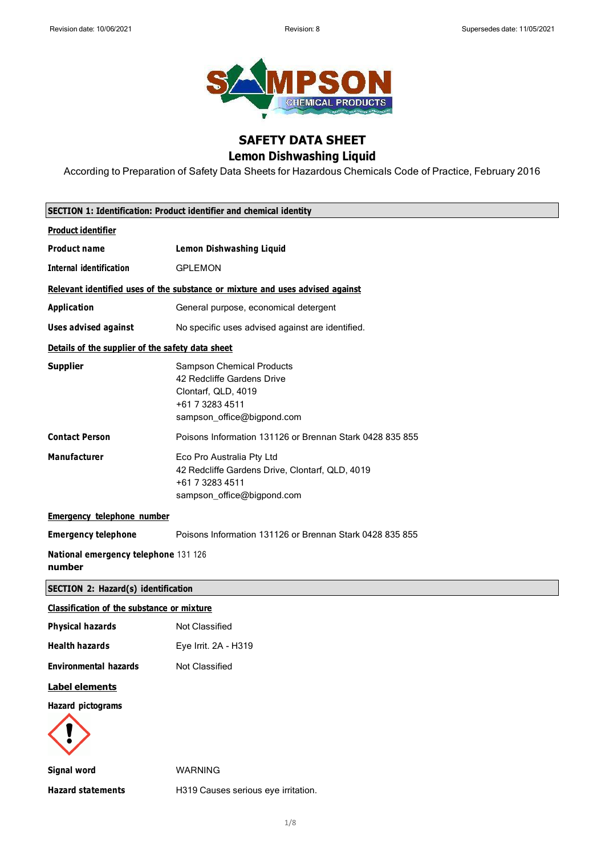

## **SAFETY DATA SHEET Lemon Dishwashing Liquid**

According to Preparation of Safety Data Sheets for Hazardous Chemicals Code of Practice, February 2016

| SECTION 1: Identification: Product identifier and chemical identity |                                                                                                                                        |  |  |  |  |  |
|---------------------------------------------------------------------|----------------------------------------------------------------------------------------------------------------------------------------|--|--|--|--|--|
| <b>Product identifier</b>                                           |                                                                                                                                        |  |  |  |  |  |
| <b>Product name</b>                                                 | <b>Lemon Dishwashing Liquid</b>                                                                                                        |  |  |  |  |  |
| <b>Internal identification</b>                                      | <b>GPLEMON</b>                                                                                                                         |  |  |  |  |  |
|                                                                     | Relevant identified uses of the substance or mixture and uses advised against                                                          |  |  |  |  |  |
| <b>Application</b>                                                  | General purpose, economical detergent                                                                                                  |  |  |  |  |  |
| <b>Uses advised against</b>                                         | No specific uses advised against are identified.                                                                                       |  |  |  |  |  |
| Details of the supplier of the safety data sheet                    |                                                                                                                                        |  |  |  |  |  |
| <b>Supplier</b>                                                     | <b>Sampson Chemical Products</b><br>42 Redcliffe Gardens Drive<br>Clontarf, QLD, 4019<br>+61 7 3283 4511<br>sampson_office@bigpond.com |  |  |  |  |  |
| <b>Contact Person</b>                                               | Poisons Information 131126 or Brennan Stark 0428 835 855                                                                               |  |  |  |  |  |
| <b>Manufacturer</b>                                                 | Eco Pro Australia Pty Ltd<br>42 Redcliffe Gardens Drive, Clontarf, QLD, 4019<br>+61 7 3283 4511<br>sampson_office@bigpond.com          |  |  |  |  |  |
| <b>Emergency telephone number</b>                                   |                                                                                                                                        |  |  |  |  |  |
| <b>Emergency telephone</b>                                          | Poisons Information 131126 or Brennan Stark 0428 835 855                                                                               |  |  |  |  |  |
| National emergency telephone 131 126<br>number                      |                                                                                                                                        |  |  |  |  |  |
| <b>SECTION 2: Hazard(s) identification</b>                          |                                                                                                                                        |  |  |  |  |  |
| Classification of the substance or mixture                          |                                                                                                                                        |  |  |  |  |  |
| <b>Physical hazards</b>                                             | <b>Not Classified</b>                                                                                                                  |  |  |  |  |  |
| <b>Health hazards</b>                                               | Eye Irrit. 2A - H319                                                                                                                   |  |  |  |  |  |
| <b>Environmental hazards</b>                                        | Not Classified                                                                                                                         |  |  |  |  |  |
| Label elements                                                      |                                                                                                                                        |  |  |  |  |  |
| <b>Hazard pictograms</b>                                            |                                                                                                                                        |  |  |  |  |  |
| <b>Signal word</b>                                                  | <b>WARNING</b>                                                                                                                         |  |  |  |  |  |
| <b>Hazard statements</b>                                            | H319 Causes serious eye irritation.                                                                                                    |  |  |  |  |  |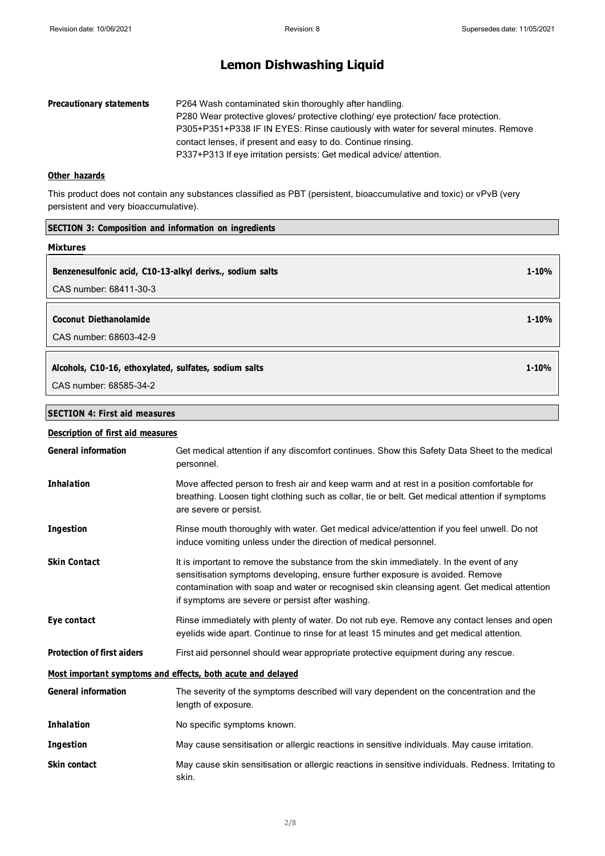| <b>Precautionary statements</b> | P264 Wash contaminated skin thoroughly after handling.                             |
|---------------------------------|------------------------------------------------------------------------------------|
|                                 | P280 Wear protective gloves/ protective clothing/ eye protection/ face protection. |
|                                 | P305+P351+P338 IF IN EYES: Rinse cautiously with water for several minutes. Remove |
|                                 | contact lenses, if present and easy to do. Continue rinsing.                       |
|                                 | P337+P313 If eye irritation persists: Get medical advice/attention.                |

### **Other hazards**

This product does not contain any substances classified as PBT (persistent, bioaccumulative and toxic) or vPvB (very persistent and very bioaccumulative).

| <b>SECTION 3: Composition and information on ingredients</b> |           |
|--------------------------------------------------------------|-----------|
| <b>Mixtures</b>                                              |           |
| Benzenesulfonic acid, C10-13-alkyl derivs., sodium salts     | $1 - 10%$ |
| CAS number: 68411-30-3                                       |           |
| Coconut Diethanolamide<br>CAS number: 68603-42-9             | $1 - 10%$ |
| Alcohols, C10-16, ethoxylated, sulfates, sodium salts        | $1 - 10%$ |
| CAS number: 68585-34-2                                       |           |
| <b>SECTION 4: First aid measures</b>                         |           |
| <b>Description of first aid measures</b>                     |           |

| <b>General information</b>        | Get medical attention if any discomfort continues. Show this Safety Data Sheet to the medical<br>personnel.                                                                                                                                                                                                                |
|-----------------------------------|----------------------------------------------------------------------------------------------------------------------------------------------------------------------------------------------------------------------------------------------------------------------------------------------------------------------------|
| <b>Inhalation</b>                 | Move affected person to fresh air and keep warm and at rest in a position comfortable for<br>breathing. Loosen tight clothing such as collar, tie or belt. Get medical attention if symptoms<br>are severe or persist.                                                                                                     |
| <b>Ingestion</b>                  | Rinse mouth thoroughly with water. Get medical advice/attention if you feel unwell. Do not<br>induce vomiting unless under the direction of medical personnel.                                                                                                                                                             |
| <b>Skin Contact</b>               | It is important to remove the substance from the skin immediately. In the event of any<br>sensitisation symptoms developing, ensure further exposure is avoided. Remove<br>contamination with soap and water or recognised skin cleansing agent. Get medical attention<br>if symptoms are severe or persist after washing. |
| Eye contact                       | Rinse immediately with plenty of water. Do not rub eye. Remove any contact lenses and open<br>eyelids wide apart. Continue to rinse for at least 15 minutes and get medical attention.                                                                                                                                     |
| <b>Protection of first aiders</b> | First aid personnel should wear appropriate protective equipment during any rescue.                                                                                                                                                                                                                                        |
|                                   | Most important symptoms and effects, both acute and delayed                                                                                                                                                                                                                                                                |
| <b>General information</b>        | The severity of the symptoms described will vary dependent on the concentration and the<br>length of exposure.                                                                                                                                                                                                             |
| <b>Inhalation</b>                 | No specific symptoms known.                                                                                                                                                                                                                                                                                                |
| <b>Ingestion</b>                  | May cause sensitisation or allergic reactions in sensitive individuals. May cause irritation.                                                                                                                                                                                                                              |
| <b>Skin contact</b>               | May cause skin sensitisation or allergic reactions in sensitive individuals. Redness. Irritating to<br>skin.                                                                                                                                                                                                               |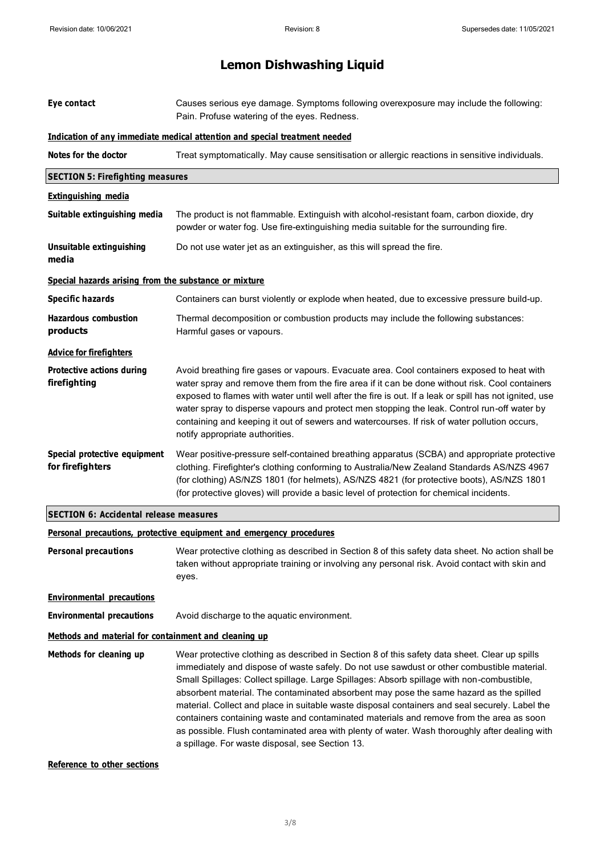| Eye contact                                           | Causes serious eye damage. Symptoms following overexposure may include the following:<br>Pain. Profuse watering of the eyes. Redness.                                                                                                                                                                                                                                                                                                                                                                                                                                                                                                                                                                                               |  |  |  |  |  |
|-------------------------------------------------------|-------------------------------------------------------------------------------------------------------------------------------------------------------------------------------------------------------------------------------------------------------------------------------------------------------------------------------------------------------------------------------------------------------------------------------------------------------------------------------------------------------------------------------------------------------------------------------------------------------------------------------------------------------------------------------------------------------------------------------------|--|--|--|--|--|
|                                                       | Indication of any immediate medical attention and special treatment needed                                                                                                                                                                                                                                                                                                                                                                                                                                                                                                                                                                                                                                                          |  |  |  |  |  |
| Notes for the doctor                                  | Treat symptomatically. May cause sensitisation or allergic reactions in sensitive individuals.                                                                                                                                                                                                                                                                                                                                                                                                                                                                                                                                                                                                                                      |  |  |  |  |  |
| <b>SECTION 5: Firefighting measures</b>               |                                                                                                                                                                                                                                                                                                                                                                                                                                                                                                                                                                                                                                                                                                                                     |  |  |  |  |  |
| <b>Extinguishing media</b>                            |                                                                                                                                                                                                                                                                                                                                                                                                                                                                                                                                                                                                                                                                                                                                     |  |  |  |  |  |
| Suitable extinguishing media                          | The product is not flammable. Extinguish with alcohol-resistant foam, carbon dioxide, dry<br>powder or water fog. Use fire-extinguishing media suitable for the surrounding fire.                                                                                                                                                                                                                                                                                                                                                                                                                                                                                                                                                   |  |  |  |  |  |
| Unsuitable extinguishing<br>media                     | Do not use water jet as an extinguisher, as this will spread the fire.                                                                                                                                                                                                                                                                                                                                                                                                                                                                                                                                                                                                                                                              |  |  |  |  |  |
| Special hazards arising from the substance or mixture |                                                                                                                                                                                                                                                                                                                                                                                                                                                                                                                                                                                                                                                                                                                                     |  |  |  |  |  |
| <b>Specific hazards</b>                               | Containers can burst violently or explode when heated, due to excessive pressure build-up.                                                                                                                                                                                                                                                                                                                                                                                                                                                                                                                                                                                                                                          |  |  |  |  |  |
| <b>Hazardous combustion</b><br>products               | Thermal decomposition or combustion products may include the following substances:<br>Harmful gases or vapours.                                                                                                                                                                                                                                                                                                                                                                                                                                                                                                                                                                                                                     |  |  |  |  |  |
| <b>Advice for firefighters</b>                        |                                                                                                                                                                                                                                                                                                                                                                                                                                                                                                                                                                                                                                                                                                                                     |  |  |  |  |  |
| <b>Protective actions during</b><br>firefighting      | Avoid breathing fire gases or vapours. Evacuate area. Cool containers exposed to heat with<br>water spray and remove them from the fire area if it can be done without risk. Cool containers<br>exposed to flames with water until well after the fire is out. If a leak or spill has not ignited, use<br>water spray to disperse vapours and protect men stopping the leak. Control run-off water by<br>containing and keeping it out of sewers and watercourses. If risk of water pollution occurs,<br>notify appropriate authorities.                                                                                                                                                                                            |  |  |  |  |  |
| Special protective equipment<br>for firefighters      | Wear positive-pressure self-contained breathing apparatus (SCBA) and appropriate protective<br>clothing. Firefighter's clothing conforming to Australia/New Zealand Standards AS/NZS 4967<br>(for clothing) AS/NZS 1801 (for helmets), AS/NZS 4821 (for protective boots), AS/NZS 1801<br>(for protective gloves) will provide a basic level of protection for chemical incidents.                                                                                                                                                                                                                                                                                                                                                  |  |  |  |  |  |
| <b>SECTION 6: Accidental release measures</b>         |                                                                                                                                                                                                                                                                                                                                                                                                                                                                                                                                                                                                                                                                                                                                     |  |  |  |  |  |
|                                                       | Personal precautions, protective equipment and emergency procedures                                                                                                                                                                                                                                                                                                                                                                                                                                                                                                                                                                                                                                                                 |  |  |  |  |  |
| <b>Personal precautions</b>                           | Wear protective clothing as described in Section 8 of this safety data sheet. No action shall be<br>taken without appropriate training or involving any personal risk. Avoid contact with skin and<br>eyes.                                                                                                                                                                                                                                                                                                                                                                                                                                                                                                                         |  |  |  |  |  |
| <b>Environmental precautions</b>                      |                                                                                                                                                                                                                                                                                                                                                                                                                                                                                                                                                                                                                                                                                                                                     |  |  |  |  |  |
| <b>Environmental precautions</b>                      | Avoid discharge to the aquatic environment.                                                                                                                                                                                                                                                                                                                                                                                                                                                                                                                                                                                                                                                                                         |  |  |  |  |  |
| Methods and material for containment and cleaning up  |                                                                                                                                                                                                                                                                                                                                                                                                                                                                                                                                                                                                                                                                                                                                     |  |  |  |  |  |
| Methods for cleaning up                               | Wear protective clothing as described in Section 8 of this safety data sheet. Clear up spills<br>immediately and dispose of waste safely. Do not use sawdust or other combustible material.<br>Small Spillages: Collect spillage. Large Spillages: Absorb spillage with non-combustible,<br>absorbent material. The contaminated absorbent may pose the same hazard as the spilled<br>material. Collect and place in suitable waste disposal containers and seal securely. Label the<br>containers containing waste and contaminated materials and remove from the area as soon<br>as possible. Flush contaminated area with plenty of water. Wash thoroughly after dealing with<br>a spillage. For waste disposal, see Section 13. |  |  |  |  |  |

#### **Reference to other sections**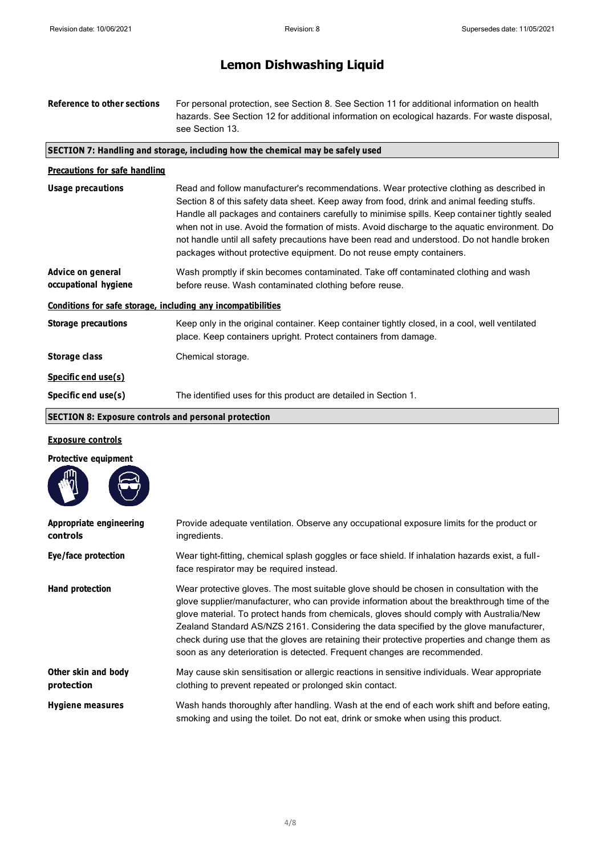| Reference to other sections                                  | For personal protection, see Section 8. See Section 11 for additional information on health<br>hazards. See Section 12 for additional information on ecological hazards. For waste disposal,<br>see Section 13.                                                                                                                                                                                                                                                                                                                                                   |  |  |  |
|--------------------------------------------------------------|-------------------------------------------------------------------------------------------------------------------------------------------------------------------------------------------------------------------------------------------------------------------------------------------------------------------------------------------------------------------------------------------------------------------------------------------------------------------------------------------------------------------------------------------------------------------|--|--|--|
|                                                              | SECTION 7: Handling and storage, including how the chemical may be safely used                                                                                                                                                                                                                                                                                                                                                                                                                                                                                    |  |  |  |
| Precautions for safe handling                                |                                                                                                                                                                                                                                                                                                                                                                                                                                                                                                                                                                   |  |  |  |
| <b>Usage precautions</b>                                     | Read and follow manufacturer's recommendations. Wear protective clothing as described in<br>Section 8 of this safety data sheet. Keep away from food, drink and animal feeding stuffs.<br>Handle all packages and containers carefully to minimise spills. Keep container tightly sealed<br>when not in use. Avoid the formation of mists. Avoid discharge to the aquatic environment. Do<br>not handle until all safety precautions have been read and understood. Do not handle broken<br>packages without protective equipment. Do not reuse empty containers. |  |  |  |
| Advice on general<br>occupational hygiene                    | Wash promptly if skin becomes contaminated. Take off contaminated clothing and wash<br>before reuse. Wash contaminated clothing before reuse.                                                                                                                                                                                                                                                                                                                                                                                                                     |  |  |  |
| Conditions for safe storage, including any incompatibilities |                                                                                                                                                                                                                                                                                                                                                                                                                                                                                                                                                                   |  |  |  |
| <b>Storage precautions</b>                                   | Keep only in the original container. Keep container tightly closed, in a cool, well ventilated<br>place. Keep containers upright. Protect containers from damage.                                                                                                                                                                                                                                                                                                                                                                                                 |  |  |  |
| Storage class                                                | Chemical storage.                                                                                                                                                                                                                                                                                                                                                                                                                                                                                                                                                 |  |  |  |
| Specific end use(s)                                          |                                                                                                                                                                                                                                                                                                                                                                                                                                                                                                                                                                   |  |  |  |
| Specific end use(s)                                          | The identified uses for this product are detailed in Section 1.                                                                                                                                                                                                                                                                                                                                                                                                                                                                                                   |  |  |  |
| <b>SECTION 8: Exposure controls and personal protection</b>  |                                                                                                                                                                                                                                                                                                                                                                                                                                                                                                                                                                   |  |  |  |
| <b>Exposure controls</b>                                     |                                                                                                                                                                                                                                                                                                                                                                                                                                                                                                                                                                   |  |  |  |

|    | <b>Protective equipment</b> |
|----|-----------------------------|
| ጠነ |                             |

| WW                                  |                                                                                                                                                                                                                                                                                                                                                                                                                                                                                                                                                              |
|-------------------------------------|--------------------------------------------------------------------------------------------------------------------------------------------------------------------------------------------------------------------------------------------------------------------------------------------------------------------------------------------------------------------------------------------------------------------------------------------------------------------------------------------------------------------------------------------------------------|
| Appropriate engineering<br>controls | Provide adequate ventilation. Observe any occupational exposure limits for the product or<br>ingredients.                                                                                                                                                                                                                                                                                                                                                                                                                                                    |
| Eye/face protection                 | Wear tight-fitting, chemical splash goggles or face shield. If inhalation hazards exist, a full-<br>face respirator may be required instead.                                                                                                                                                                                                                                                                                                                                                                                                                 |
| Hand protection                     | Wear protective gloves. The most suitable glove should be chosen in consultation with the<br>glove supplier/manufacturer, who can provide information about the breakthrough time of the<br>glove material. To protect hands from chemicals, gloves should comply with Australia/New<br>Zealand Standard AS/NZS 2161. Considering the data specified by the glove manufacturer,<br>check during use that the gloves are retaining their protective properties and change them as<br>soon as any deterioration is detected. Frequent changes are recommended. |
| Other skin and body<br>protection   | May cause skin sensitisation or allergic reactions in sensitive individuals. Wear appropriate<br>clothing to prevent repeated or prolonged skin contact.                                                                                                                                                                                                                                                                                                                                                                                                     |
| <b>Hygiene measures</b>             | Wash hands thoroughly after handling. Wash at the end of each work shift and before eating,<br>smoking and using the toilet. Do not eat, drink or smoke when using this product.                                                                                                                                                                                                                                                                                                                                                                             |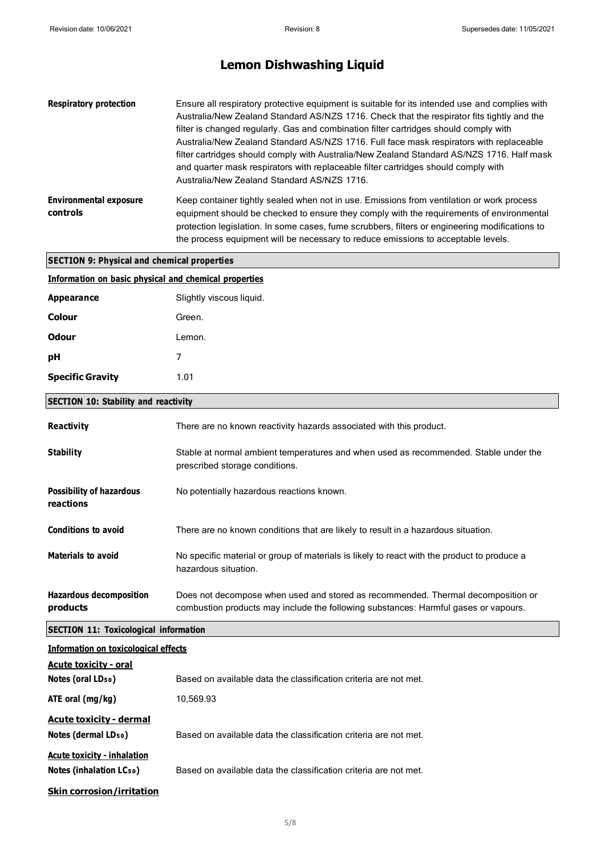| <b>Respiratory protection</b>             | Ensure all respiratory protective equipment is suitable for its intended use and complies with<br>Australia/New Zealand Standard AS/NZS 1716. Check that the respirator fits tightly and the<br>filter is changed regularly. Gas and combination filter cartridges should comply with<br>Australia/New Zealand Standard AS/NZS 1716. Full face mask respirators with replaceable<br>filter cartridges should comply with Australia/New Zealand Standard AS/NZS 1716. Half mask<br>and quarter mask respirators with replaceable filter cartridges should comply with<br>Australia/New Zealand Standard AS/NZS 1716. |
|-------------------------------------------|---------------------------------------------------------------------------------------------------------------------------------------------------------------------------------------------------------------------------------------------------------------------------------------------------------------------------------------------------------------------------------------------------------------------------------------------------------------------------------------------------------------------------------------------------------------------------------------------------------------------|
| <b>Environmental exposure</b><br>controls | Keep container tightly sealed when not in use. Emissions from ventilation or work process<br>equipment should be checked to ensure they comply with the requirements of environmental<br>protection legislation. In some cases, fume scrubbers, filters or engineering modifications to<br>the process equipment will be necessary to reduce emissions to acceptable levels.                                                                                                                                                                                                                                        |

### **SECTION 9: Physical and chemical properties**

| Information on basic physical and chemical properties |  |  |  |  |
|-------------------------------------------------------|--|--|--|--|
|                                                       |  |  |  |  |

| <b>Appearance</b>       | Slightly viscous liquid. |
|-------------------------|--------------------------|
| Colour                  | Green.                   |
| Odour                   | Lemon.                   |
| рH                      | 7                        |
| <b>Specific Gravity</b> | 1.01                     |

### **SECTION 10: Stability and reactivity**

| <b>Reactivity</b>                            | There are no known reactivity hazards associated with this product.                                                                                                     |  |  |  |  |
|----------------------------------------------|-------------------------------------------------------------------------------------------------------------------------------------------------------------------------|--|--|--|--|
| <b>Stability</b>                             | Stable at normal ambient temperatures and when used as recommended. Stable under the<br>prescribed storage conditions.                                                  |  |  |  |  |
| <b>Possibility of hazardous</b><br>reactions | No potentially hazardous reactions known.                                                                                                                               |  |  |  |  |
| <b>Conditions to avoid</b>                   | There are no known conditions that are likely to result in a hazardous situation.                                                                                       |  |  |  |  |
| <b>Materials to avoid</b>                    | No specific material or group of materials is likely to react with the product to produce a<br>hazardous situation.                                                     |  |  |  |  |
| <b>Hazardous decomposition</b><br>products   | Does not decompose when used and stored as recommended. Thermal decomposition or<br>combustion products may include the following substances: Harmful gases or vapours. |  |  |  |  |

### **SECTION 11: Toxicological information**

| Information on toxicological effects                                       |                                                                  |  |
|----------------------------------------------------------------------------|------------------------------------------------------------------|--|
| <b>Acute toxicity - oral</b>                                               |                                                                  |  |
| Notes (oral LD <sub>50</sub> )                                             | Based on available data the classification criteria are not met. |  |
| ATE oral $(mg/kg)$                                                         | 10,569.93                                                        |  |
| <b>Acute toxicity - dermal</b><br>Notes (dermal LD <sub>50</sub> )         | Based on available data the classification criteria are not met. |  |
| <b>Acute toxicity - inhalation</b><br>Notes (inhalation LC <sub>50</sub> ) | Based on available data the classification criteria are not met. |  |
| <b>Skin corrosion/irritation</b>                                           |                                                                  |  |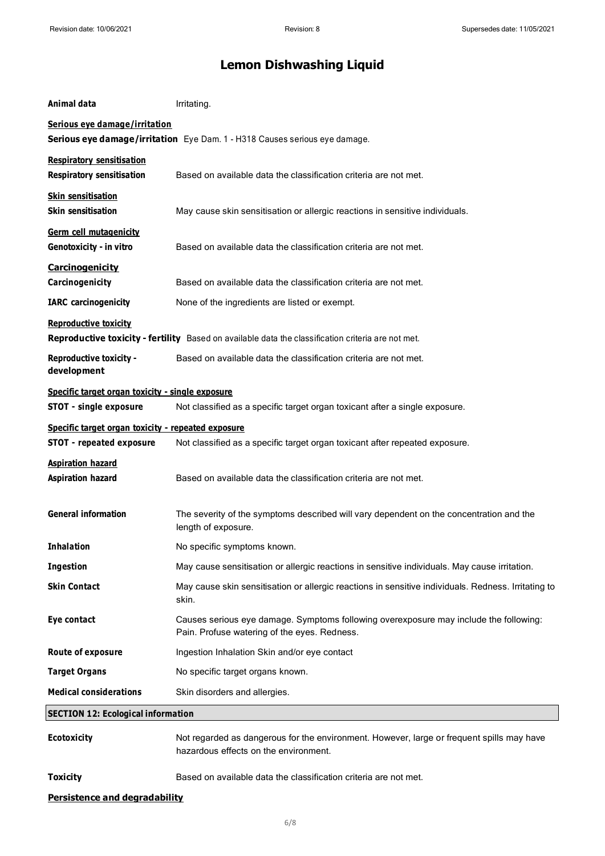| Animal data                                                                                                                        | Irritating.                                                                                                                           |  |
|------------------------------------------------------------------------------------------------------------------------------------|---------------------------------------------------------------------------------------------------------------------------------------|--|
| Serious eye damage/irritation                                                                                                      |                                                                                                                                       |  |
|                                                                                                                                    | Serious eye damage/irritation Eye Dam. 1 - H318 Causes serious eye damage.                                                            |  |
| <b>Respiratory sensitisation</b><br><b>Respiratory sensitisation</b>                                                               | Based on available data the classification criteria are not met.                                                                      |  |
| <b>Skin sensitisation</b><br><b>Skin sensitisation</b>                                                                             | May cause skin sensitisation or allergic reactions in sensitive individuals.                                                          |  |
| <b>Germ cell mutagenicity</b><br>Genotoxicity - in vitro                                                                           | Based on available data the classification criteria are not met.                                                                      |  |
| <b>Carcinogenicity</b><br>Carcinogenicity                                                                                          | Based on available data the classification criteria are not met.                                                                      |  |
| <b>IARC</b> carcinogenicity                                                                                                        | None of the ingredients are listed or exempt.                                                                                         |  |
| <b>Reproductive toxicity</b><br>Reproductive toxicity - fertility Based on available data the classification criteria are not met. |                                                                                                                                       |  |
| <b>Reproductive toxicity -</b><br>development                                                                                      | Based on available data the classification criteria are not met.                                                                      |  |
| Specific target organ toxicity - single exposure                                                                                   |                                                                                                                                       |  |
| STOT - single exposure                                                                                                             | Not classified as a specific target organ toxicant after a single exposure.                                                           |  |
| Specific target organ toxicity - repeated exposure                                                                                 |                                                                                                                                       |  |
| <b>STOT - repeated exposure</b>                                                                                                    | Not classified as a specific target organ toxicant after repeated exposure.                                                           |  |
| <b>Aspiration hazard</b><br><b>Aspiration hazard</b>                                                                               | Based on available data the classification criteria are not met.                                                                      |  |
| <b>General information</b>                                                                                                         | The severity of the symptoms described will vary dependent on the concentration and the<br>length of exposure.                        |  |
| <b>Inhalation</b>                                                                                                                  | No specific symptoms known.                                                                                                           |  |
| <b>Ingestion</b>                                                                                                                   | May cause sensitisation or allergic reactions in sensitive individuals. May cause irritation.                                         |  |
| <b>Skin Contact</b>                                                                                                                | May cause skin sensitisation or allergic reactions in sensitive individuals. Redness. Irritating to<br>skin.                          |  |
| Eye contact                                                                                                                        | Causes serious eye damage. Symptoms following overexposure may include the following:<br>Pain. Profuse watering of the eyes. Redness. |  |
| Route of exposure                                                                                                                  | Ingestion Inhalation Skin and/or eye contact                                                                                          |  |
| <b>Target Organs</b>                                                                                                               | No specific target organs known.                                                                                                      |  |
| <b>Medical considerations</b>                                                                                                      | Skin disorders and allergies.                                                                                                         |  |
| <b>SECTION 12: Ecological information</b>                                                                                          |                                                                                                                                       |  |
| <b>Ecotoxicity</b>                                                                                                                 | Not regarded as dangerous for the environment. However, large or frequent spills may have<br>hazardous effects on the environment.    |  |
| <b>Toxicity</b>                                                                                                                    | Based on available data the classification criteria are not met.                                                                      |  |
| <b>Persistence and degradability</b>                                                                                               |                                                                                                                                       |  |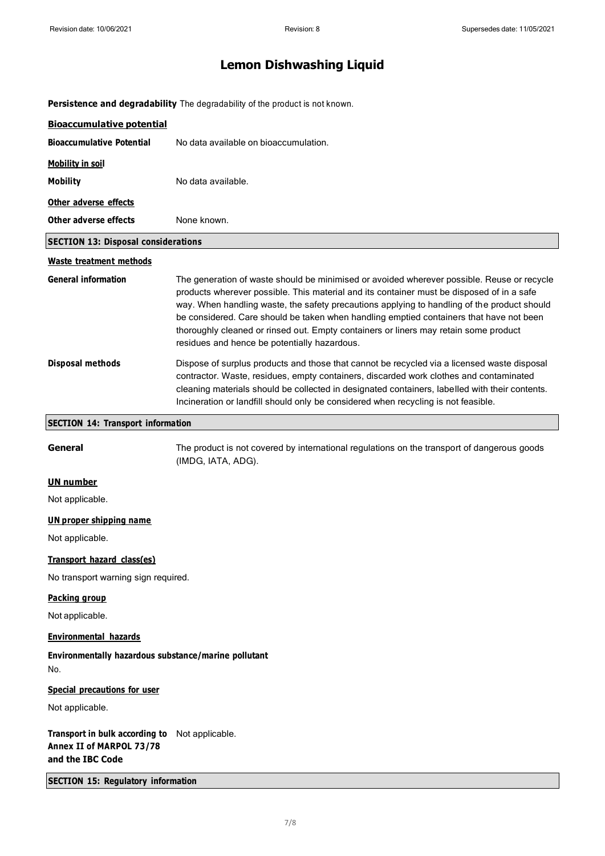**Persistence and degradability** The degradability of the product is not known.

| <b>Bioaccumulative potential</b>                                               |                                                                                                                                                                                                                                                                                                                                                                                                                                                                                                                           |  |
|--------------------------------------------------------------------------------|---------------------------------------------------------------------------------------------------------------------------------------------------------------------------------------------------------------------------------------------------------------------------------------------------------------------------------------------------------------------------------------------------------------------------------------------------------------------------------------------------------------------------|--|
| <b>Bioaccumulative Potential</b>                                               | No data available on bioaccumulation.                                                                                                                                                                                                                                                                                                                                                                                                                                                                                     |  |
| <b>Mobility in soil</b>                                                        |                                                                                                                                                                                                                                                                                                                                                                                                                                                                                                                           |  |
| <b>Mobility</b>                                                                | No data available.                                                                                                                                                                                                                                                                                                                                                                                                                                                                                                        |  |
| Other adverse effects                                                          |                                                                                                                                                                                                                                                                                                                                                                                                                                                                                                                           |  |
| Other adverse effects                                                          | None known.                                                                                                                                                                                                                                                                                                                                                                                                                                                                                                               |  |
| <b>SECTION 13: Disposal considerations</b>                                     |                                                                                                                                                                                                                                                                                                                                                                                                                                                                                                                           |  |
| <b>Waste treatment methods</b>                                                 |                                                                                                                                                                                                                                                                                                                                                                                                                                                                                                                           |  |
| <b>General information</b>                                                     | The generation of waste should be minimised or avoided wherever possible. Reuse or recycle<br>products wherever possible. This material and its container must be disposed of in a safe<br>way. When handling waste, the safety precautions applying to handling of the product should<br>be considered. Care should be taken when handling emptied containers that have not been<br>thoroughly cleaned or rinsed out. Empty containers or liners may retain some product<br>residues and hence be potentially hazardous. |  |
| <b>Disposal methods</b>                                                        | Dispose of surplus products and those that cannot be recycled via a licensed waste disposal<br>contractor. Waste, residues, empty containers, discarded work clothes and contaminated<br>cleaning materials should be collected in designated containers, labelled with their contents.<br>Incineration or landfill should only be considered when recycling is not feasible.                                                                                                                                             |  |
| <b>SECTION 14: Transport information</b>                                       |                                                                                                                                                                                                                                                                                                                                                                                                                                                                                                                           |  |
| General                                                                        | The product is not covered by international regulations on the transport of dangerous goods<br>(IMDG, IATA, ADG).                                                                                                                                                                                                                                                                                                                                                                                                         |  |
| <b>UN number</b>                                                               |                                                                                                                                                                                                                                                                                                                                                                                                                                                                                                                           |  |
| Not applicable.                                                                |                                                                                                                                                                                                                                                                                                                                                                                                                                                                                                                           |  |
| <b>UN proper shipping name</b>                                                 |                                                                                                                                                                                                                                                                                                                                                                                                                                                                                                                           |  |
| Not applicable.                                                                |                                                                                                                                                                                                                                                                                                                                                                                                                                                                                                                           |  |
| Transport hazard class(es)                                                     |                                                                                                                                                                                                                                                                                                                                                                                                                                                                                                                           |  |
| No transport warning sign required.                                            |                                                                                                                                                                                                                                                                                                                                                                                                                                                                                                                           |  |
| <b>Packing group</b>                                                           |                                                                                                                                                                                                                                                                                                                                                                                                                                                                                                                           |  |
| Not applicable.                                                                |                                                                                                                                                                                                                                                                                                                                                                                                                                                                                                                           |  |
| <b>Environmental hazards</b>                                                   |                                                                                                                                                                                                                                                                                                                                                                                                                                                                                                                           |  |
| Environmentally hazardous substance/marine pollutant<br>No.                    |                                                                                                                                                                                                                                                                                                                                                                                                                                                                                                                           |  |
| <b>Special precautions for user</b>                                            |                                                                                                                                                                                                                                                                                                                                                                                                                                                                                                                           |  |
| Not applicable.                                                                |                                                                                                                                                                                                                                                                                                                                                                                                                                                                                                                           |  |
| Transport in bulk according to<br>Annex II of MARPOL 73/78<br>and the IBC Code | Not applicable.                                                                                                                                                                                                                                                                                                                                                                                                                                                                                                           |  |
| <b>SECTION 15: Regulatory information</b>                                      |                                                                                                                                                                                                                                                                                                                                                                                                                                                                                                                           |  |